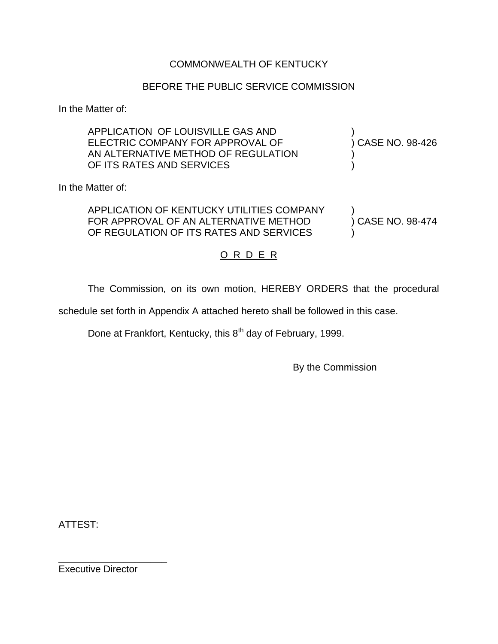### COMMONWEALTH OF KENTUCKY

### BEFORE THE PUBLIC SERVICE COMMISSION

In the Matter of:

| APPLICATION OF LOUISVILLE GAS AND<br>ELECTRIC COMPANY FOR APPROVAL OF<br>AN ALTERNATIVE METHOD OF REGULATION<br>OF ITS RATES AND SERVICES | ) CASE NO. 98-426 |
|-------------------------------------------------------------------------------------------------------------------------------------------|-------------------|
| In the Matter of:                                                                                                                         |                   |
| APPLICATION OF KENTUCKY UTILITIES COMPANY<br>FOR APPROVAL OF AN ALTERNATIVE METHOD<br>OF REGULATION OF ITS RATES AND SERVICES             | ) CASE NO. 98-474 |
| .                                                                                                                                         |                   |

## <u>O R D E R</u>

The Commission, on its own motion, HEREBY ORDERS that the procedural

schedule set forth in Appendix A attached hereto shall be followed in this case.

Done at Frankfort, Kentucky, this 8<sup>th</sup> day of February, 1999.

By the Commission

ATTEST:

Executive Director

\_\_\_\_\_\_\_\_\_\_\_\_\_\_\_\_\_\_\_\_